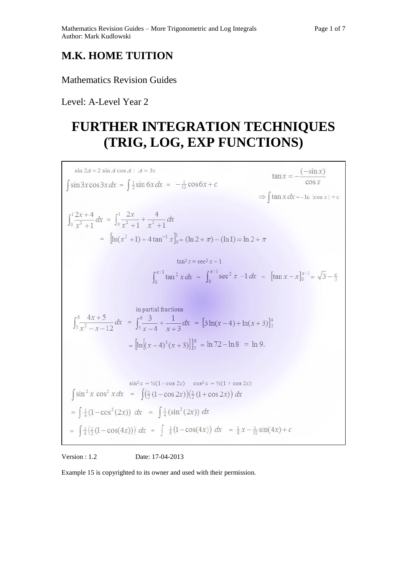# **M.K. HOME TUITION**

## Mathematics Revision Guides

Level: A-Level Year 2

# **FURTHER INTEGRATION TECHNIQUES (TRIG, LOG, EXP FUNCTIONS)**

$$
\sin 2A = 2 \sin A \cos A : A = 3x
$$
  
\n
$$
\int \sin 3x \cos 3x \, dx = \int \frac{1}{2} \sin 6x \, dx = -\frac{1}{12} \cos 6x + c
$$
  
\n
$$
\int_0^1 \frac{2x+4}{x^2+1} \, dx = \int_0^1 \frac{2x}{x^2+1} + \frac{4}{x^2+1} \, dx
$$
  
\n
$$
= \left[ \ln(x^2+1) + 4 \tan^{-1} x \right]_0^1 = (\ln 2 + \pi) - (\ln 1) = \ln 2 + \pi
$$
  
\n
$$
\tan^2 x = \sec^2 x - 1
$$
  
\n
$$
\int_0^{\pi/3} \tan^2 x \, dx = \int_0^{\pi/3} \sec^2 x - 1 \, dx = \left[ \tan x - x \right]_0^{\pi/3} = \sqrt{3} - \frac{\pi}{3}
$$
  
\n
$$
\int_3^6 \frac{4x+5}{x^2-x-12} \, dx = \int_3^6 \frac{3}{x-4} + \frac{1}{x+3} \, dx = \left[ 3 \ln(x-4) + \ln(x+3) \right]_3^6
$$
  
\n
$$
= \left[ \ln \left[ (x-4)^3(x+3) \right] \right]_5^6 = \ln 72 - \ln 8 = \ln 9.
$$
  
\n
$$
\sin^2 x \cos^2 x \, dx = \int \left( \frac{1}{2} (1-\cos 2x) \right) \cos^2 x = \frac{1}{2} (1+\cos 2x)
$$
  
\n
$$
= \int \frac{1}{4} (1-\cos^2(2x)) \, dx = \int \frac{1}{4} (\sin^2(2x)) \, dx
$$
  
\n
$$
= \int \frac{1}{4} (1-\cos(4x)) \, dx = \int \frac{1}{4} (\sin^2(2x)) \, dx
$$
  
\n
$$
= \int \frac{1}{4} (1-\cos(4x)) \, dx = \int \frac{1}{4} (\sin^2(2x)) \, dx
$$

Version : 1.2 Date: 17-04-2013

Example 15 is copyrighted to its owner and used with their permission.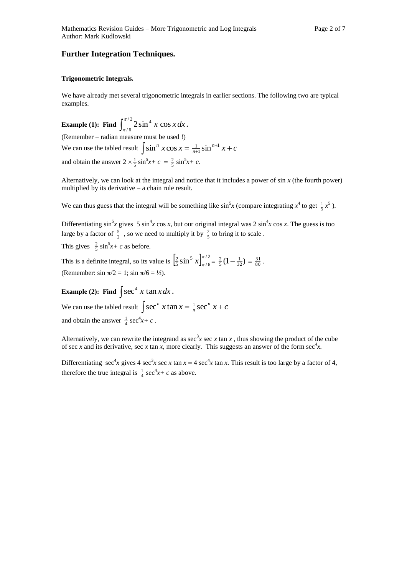### **Further Integration Techniques.**

#### **Trigonometric Integrals.**

We have already met several trigonometric integrals in earlier sections. The following two are typical examples.

**Example (1):** Find  $\int_{\pi/6}^{\pi/2}$ / 6  $\int_{0}^{\pi/2} 2\sin^4 x \cos x$  $\int_{\pi/6}^{\pi/2} 2\sin^4 x \cos x dx$ . (Remember – radian measure must be used !) We can use the tabled result  $\int \sin^n x \cos x = \frac{1}{n+1} \sin^{n+1} x + c$  $\frac{1}{n+1}$ sin<sup>n+1</sup> x +  $^{+}$ 1  $\frac{1}{n+1}$ sin and obtain the answer  $2 \times \frac{1}{5} \sin^5 x + c = \frac{2}{5} \sin^5 x + c$ .

Alternatively, we can look at the integral and notice that it includes a power of sin *x* (the fourth power) multiplied by its derivative – a chain rule result.

We can thus guess that the integral will be something like  $\sin^5 x$  (compare integrating  $x^4$  to get  $\frac{1}{5}x^5$ ).

Differentiating  $\sin^5 x$  gives 5  $\sin^4 x \cos x$ , but our original integral was 2  $\sin^4 x \cos x$ . The guess is too large by a factor of  $\frac{5}{2}$ , so we need to multiply it by  $\frac{2}{5}$  to bring it to scale.

This gives  $\frac{2}{5} \sin^5 x + c$  as before.

This is a definite integral, so its value is  $\left[\frac{2}{5}\sin^5 x\right]_{\pi/6}^{\pi/2}$ / 6 5  $\frac{2}{5}$  sin<sup>5</sup> x $\int_{\pi/6}^{\pi/2} = \frac{2}{5} (1 - \frac{1}{32}) = \frac{31}{80}$ . (Remember: sin  $\pi/2 = 1$ ; sin  $\pi/6 = 1/2$ ).

**Example (2):** Find  $\int \sec^4 x \tan x dx$ .

We can use the tabled result  $\int \sec^n x \tan x = \frac{1}{n} \sec^n x + c$  $\frac{1}{n}$  sec<sup>n</sup> x + and obtain the answer  $\frac{1}{4}$  sec<sup>4</sup>x+ c.

Alternatively, we can rewrite the integrand as sec<sup>3</sup>x sec x tan x, thus showing the product of the cube of sec *x* and its derivative, sec *x* tan *x*, more clearly. This suggests an answer of the form sec<sup>4</sup>*x*.

Differentiating  $\sec^4 x$  gives 4  $\sec^3 x \sec x \tan x = 4 \sec^4 x \tan x$ . This result is too large by a factor of 4, therefore the true integral is  $\frac{1}{4}$  sec<sup>4</sup>x+ c as above.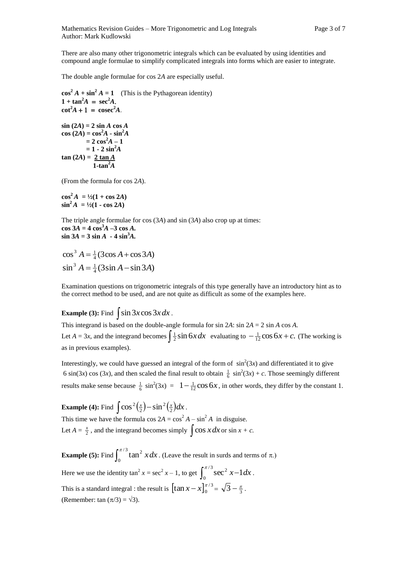There are also many other trigonometric integrals which can be evaluated by using identities and compound angle formulae to simplify complicated integrals into forms which are easier to integrate.

The double angle formulae for cos 2*A* are especially useful.

 $\cos^2 A + \sin^2 A = 1$  (This is the Pythagorean identity)  $1 + \tan^2 A = \sec^2 A$ .  $\cot^2 A + 1 = \csc^2 A$  $\sin (2A) = 2 \sin A \cos A$ 

 $\cos(2A) = \cos^2 A - \sin^2 A$  $= 2 \cos^2 A - 1$  $= 1 - 2 \sin^2 A$  $\tan (2A) = 2 \tan A$ 1-tan<sup> $2\overline{A}$ </sup>

(From the formula for cos 2*A*).

 $\cos^2 A = \frac{1}{2}(1 + \cos 2A)$  $\sin^2 A = \frac{1}{2}(1 - \cos 2A)$ 

The triple angle formulae for cos (3*A*) and sin (3*A*) also crop up at times:  $\cos 3A = 4 \cos^3 A - 3 \cos A$ .  $\sin 3A = 3 \sin A - 4 \sin^3 A$ .

 $\cos^3 A = \frac{1}{4} (3 \cos A + \cos 3A)$  $\sin^3 A = \frac{1}{4} (3 \sin A - \sin 3A)$ 

Examination questions on trigonometric integrals of this type generally have an introductory hint as to the correct method to be used, and are not quite as difficult as some of the examples here.

**Example (3):** Find  $\int \sin 3x \cos 3x dx$ .

This integrand is based on the double-angle formula for sin 2*A*: sin 2*A* = 2 sin *A* cos *A.* Let  $A = 3x$ , and the integrand becomes  $\int \frac{1}{2} \sin 6x dx$  evaluating to  $-\frac{1}{12} \cos 6x + c$ . (The working is as in previous examples).

Interestingly, we could have guessed an integral of the form of  $\sin^2(3x)$  and differentiated it to give 6 sin(3*x*) cos (3*x*), and then scaled the final result to obtain  $\frac{1}{6}$  sin<sup>2</sup>(3*x*) + *c*. Those seemingly different results make sense because  $\frac{1}{6}$  sin<sup>2</sup>(3*x*) =  $1 - \frac{1}{12} \cos 6x$ , in other words, they differ by the constant 1.

**Example (4):** Find  $\int \cos^2(\frac{x}{2}) - \sin^2(\frac{x}{2}) dx$ 2  $\frac{2(x)}{2}$  - sin  $\frac{2(x)}{2}dx$ . This time we have the formula  $\cos 2A = \cos^2 A - \sin^2 A$  in disguise.

Let  $A = \frac{x}{2}$ , and the integrand becomes simply  $\int \cos x \, dx$  or  $\sin x + c$ .

**Example (5):** Find  $\int_0^{\pi/3}$  $\mathbf{0}$  $\int_{0}^{\pi/3}$  tan<sup>2</sup> x dx. (Leave the result in surds and terms of  $\pi$ .)

Here we use the identity  $\tan^2 x = \sec^2 x - 1$ , to get  $\int_0^{\pi/3} \sec^2 x -$ 0  $\int_{0}^{\pi/3}$  sec<sup>2</sup> x-1dx. This is a standard integral : the result is  $\left[\tan x - x\right]_0^{\pi/3}$  $\tan x - x\big]_0^{\pi/3} = \sqrt{3} - \frac{\pi}{3}$ . (Remember: tan  $(\pi/3) = \sqrt{3}$ ).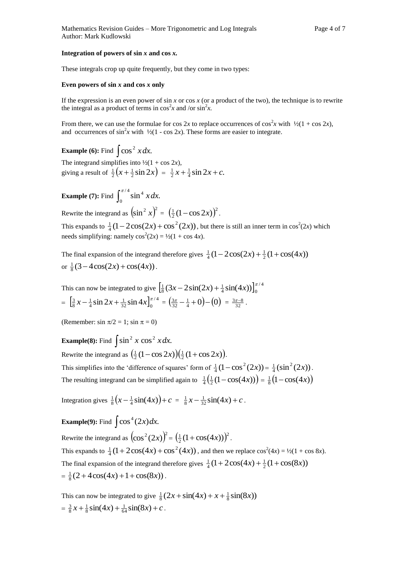#### **Integration of powers of sin** *x* **and cos** *x.*

These integrals crop up quite frequently, but they come in two types:

#### **Even powers of sin** *x* **and cos** *x* **only**

If the expression is an even power of  $\sin x$  or  $\cos x$  (or a product of the two), the technique is to rewrite the integral as a product of terms in  $\cos^2 x$  and /or  $\sin^2 x$ .

From there, we can use the formulae for cos 2x to replace occurrences of  $\cos^2 x$  with  $\frac{1}{2}(1 + \cos 2x)$ , and occurrences of  $\sin^2 x$  with  $\frac{1}{2}(1 - \cos 2x)$ . These forms are easier to integrate.

**Example (6):** Find  $\int \cos^2 x dx$ . The integrand simplifies into  $\frac{1}{2}(1 + \cos 2x)$ , giving a result of  $\frac{1}{2}(x + \frac{1}{2}\sin 2x) = \frac{1}{2}x + \frac{1}{4}\sin 2x + c$ .

**Example** (7): Find  $\int_0^{\pi/4}$ 0  $\int_{0}^{\pi/4} \sin^4 x dx$ .

Rewrite the integrand as  $\left(\sin^2 x\right)^2 = \left(\frac{1}{2}(1-\cos 2x)\right)^2$  $\frac{1}{2}(1-\cos 2x)^2$ .

This expands to  $\frac{1}{4}(1-2\cos(2x)+\cos^2(2x))$ , but there is still an inner term in  $\cos^2(2x)$  which needs simplifying: namely  $cos^2(2x) = \frac{1}{2}(1 + cos 4x)$ .

The final expansion of the integrand therefore gives  $\frac{1}{4}(1-2\cos(2x) + \frac{1}{2}(1+\cos(4x))$ or  $\frac{1}{8}$  (3 – 4 cos(2x) + cos(4x)).

This can now be integrated to give  $\left[\frac{1}{8}(3x-2\sin(2x)+\frac{1}{4}\sin(4x))\right]_0^{\pi/4}$  $\frac{1}{8}$  (3x – 2sin(2x) +  $\frac{1}{4}$ sin(4x)) $\int_0^{\pi}$  $=\left[\frac{3}{8}x-\frac{1}{4}\sin 2x+\frac{1}{3} \sin 4x\right]_0^{\pi/4}$  $\frac{3}{8}x - \frac{1}{4}\sin 2x + \frac{1}{32}\sin 4x\Big]_0^{\pi/4} = \left(\frac{3\pi}{32} - \frac{1}{4} + 0\right) - \left(0\right) = \frac{3\pi - 8}{32}.$ 

(Remember: sin  $\pi/2 = 1$ ; sin  $\pi = 0$ )

**Example(8):** Find  $\int \sin^2 x \cos^2 x dx$ .

Rewrite the integrand as  $\left(\frac{1}{2}(1-\cos 2x)\right)\left(\frac{1}{2}(1+\cos 2x)\right)$ . This simplifies into the 'difference of squares' form of  $\frac{1}{4}(1-\cos^2(2x)) = \frac{1}{4}(\sin^2(2x))$ . The resulting integrand can be simplified again to  $\frac{1}{4}(\frac{1}{2}(1-\cos(4x))) = \frac{1}{8}(1-\cos(4x))$ 

Integration gives  $\frac{1}{8}(x - \frac{1}{4}\sin(4x)) + c = \frac{1}{8}x - \frac{1}{32}\sin(4x) + c$ .

**Example(9):** Find  $\int \cos^4(2x) dx$ .

Rewrite the integrand as  $(\cos^2(2x))^2 = (\frac{1}{2}(1 + \cos(4x)))^2$  $\frac{1}{2}(1+\cos(4x)))^2$ . This expands to  $\frac{1}{4}(1 + 2\cos(4x) + \cos^2(4x))$ , and then we replace  $\cos^2(4x) = \frac{1}{2}(1 + \cos 8x)$ . The final expansion of the integrand therefore gives  $\frac{1}{4}(1+2\cos(4x)+\frac{1}{2}(1+\cos(8x))$  $=\frac{1}{8}(2+4\cos(4x)+1+\cos(8x))$ .

This can now be integrated to give  $\frac{1}{8}(2x + \sin(4x) + x + \frac{1}{8}\sin(8x))$  $=\frac{3}{8}x + \frac{1}{8}\sin(4x) + \frac{1}{64}\sin(8x) + c$ .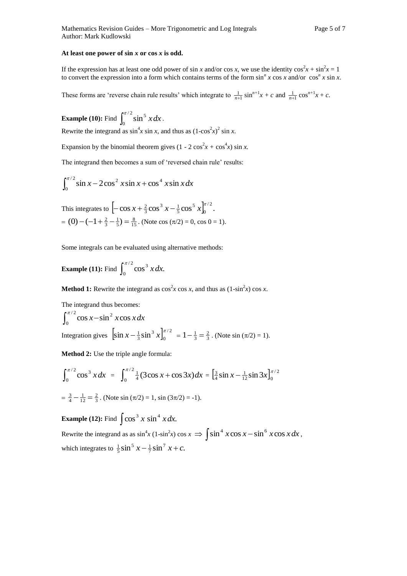#### **At least one power of sin** *x* **or cos** *x* **is odd.**

If the expression has at least one odd power of sin *x* and/or cos *x*, we use the identity  $\cos^2 x + \sin^2 x = 1$ to convert the expression into a form which contains terms of the form  $\sin^n x \cos x$  and/or  $\cos^n x \sin x$ .

These forms are 'reverse chain rule results' which integrate to  $\frac{1}{n+1} \sin^{n+1} x + c$  and  $\frac{1}{n+1} \cos^{n+1} x + c$ .

**Example (10):** Find  $\int_0^{\pi/2}$  $\boldsymbol{0}$  $\int_{0}^{\pi/2} \sin^5 x dx$ .

Rewrite the integrand as  $\sin^4 x \sin x$ , and thus as  $(1-\cos^2 x)^2 \sin x$ .

Expansion by the binomial theorem gives  $(1 - 2 \cos^2 x + \cos^4 x) \sin x$ .

The integrand then becomes a sum of 'reversed chain rule' results:

$$
\int_0^{\pi/2} \sin x - 2\cos^2 x \sin x + \cos^4 x \sin x dx
$$

This integrates to 
$$
\left[-\cos x + \frac{2}{3}\cos^3 x - \frac{1}{5}\cos^5 x\right]_0^{\pi/2}
$$
.  
= (0) -  $\left(-1 + \frac{2}{3} - \frac{1}{5}\right) = \frac{8}{15}$ . (Note  $\cos (\pi/2) = 0$ ,  $\cos 0 = 1$ ).

Some integrals can be evaluated using alternative methods:

**Example (11):** Find  $\int_0^{\pi/2}$  $\mathbf{0}$  $\int_{0}^{\pi/2}$ cos<sup>3</sup> *x dx*.

**Method 1:** Rewrite the integrand as  $\cos^2 x \cos x$ , and thus as  $(1-\sin^2 x) \cos x$ .

The integrand thus becomes:  
\n
$$
\int_0^{\pi/2} \cos x - \sin^2 x \cos x dx
$$
\n
$$
\text{Integration gives } \left[ \sin x - \frac{1}{3} \sin^3 x \right]_0^{\pi/2} = 1 - \frac{1}{3} = \frac{2}{3}. \text{ (Note } \sin (\pi/2) = 1\text{).}
$$

**Method 2:** Use the triple angle formula:

$$
\int_0^{\pi/2} \cos^3 x \, dx = \int_0^{\pi/2} \frac{1}{4} (3 \cos x + \cos 3x) \, dx = \left[ \frac{3}{4} \sin x - \frac{1}{12} \sin 3x \right]_0^{\pi/2}
$$
\n
$$
= \frac{3}{4} - \frac{1}{12} = \frac{2}{3} \, . \text{ (Note } \sin (\pi/2) = 1, \sin (3\pi/2) = -1).
$$

**Example (12):** Find  $\int \cos^3 x \sin^4 x dx$ .

Rewrite the integrand as as  $\sin^4 x (1-\sin^2 x) \cos x \Rightarrow \int \sin^4 x \cos x - \sin^6 x \cos x dx$ , which integrates to  $\frac{1}{5} \sin^5 x - \frac{1}{7} \sin^7 x + c$ .  $\frac{1}{5}$ sin<sup>5</sup> x -  $\frac{1}{7}$ sin<sup>7</sup> x + c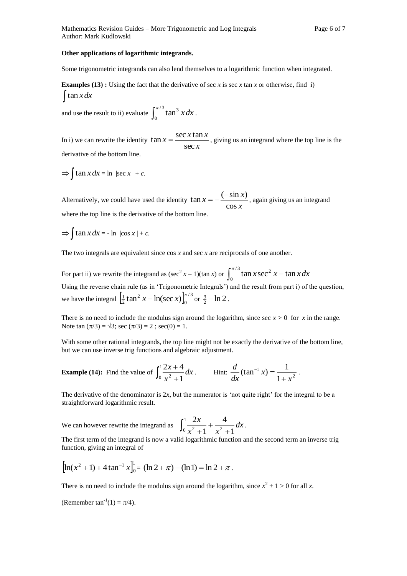#### **Other applications of logarithmic integrands.**

Some trigonometric integrands can also lend themselves to a logarithmic function when integrated.

**Examples (13) :** Using the fact that the derivative of sec *x* is sec *x* tan *x* or otherwise, find i)  $\int \tan x dx$ 

and use the result to ii) evaluate  $\int_0^{\pi/3}$  $\mathbf{0}$  $\int_{0}^{\pi/3}$  tan<sup>3</sup> x dx.

In i) we can rewrite the identity  $\tan x = \frac{320000000}{\sec x}$  $x = \frac{\sec x \tan x}{x}$ sec  $\tan x = \frac{\sec x \tan x}{x}$ , giving us an integrand where the top line is the derivative of the bottom line.

$$
\Rightarrow \int \tan x \, dx = \ln |\sec x| + c.
$$

Alternatively, we could have used the identity  $\tan x = -\frac{\cos x}{\cos x}$  $x = -\frac{(-\sin x)}{x}$ cos  $\tan x = -\frac{(-\sin x)}{\sin x}$ , again giving us an integrand where the top line is the derivative of the bottom line.

 $\Rightarrow$   $\int \tan x dx = - \ln |\cos x| + c.$ 

The two integrals are equivalent since cos *x* and sec *x* are reciprocals of one another.

For part ii) we rewrite the integrand as  $(\sec^2 x - 1)(\tan x)$  or  $\int_0^{\pi/3} \tan x \sec^2 x -$ 0  $\int_{0}^{\pi/3}$  tan *x* sec<sup>2</sup> *x* – tan *x dx* Using the reverse chain rule (as in 'Trigonometric Integrals') and the result from part i) of the question, we have the integral  $\left[\frac{1}{2} \tan^2 x - \ln(\sec x)\right]_0^{\pi/3}$ 0 2  $\frac{1}{2}$  tan<sup>2</sup> x – ln(sec x) $\int_0^{\pi/3}$  or  $\frac{3}{2}$  – ln 2.

There is no need to include the modulus sign around the logarithm, since sec  $x > 0$  for  $x$  in the range. Note tan  $(\pi/3) = \sqrt{3}$ ; sec  $(\pi/3) = 2$ ; sec $(0) = 1$ .

With some other rational integrands, the top line might not be exactly the derivative of the bottom line, but we can use inverse trig functions and algebraic adjustment.

**Example (14):** Find the value of 
$$
\int_0^1 \frac{2x+4}{x^2+1} dx
$$
. Hint:  $\frac{d}{dx}(\tan^{-1} x) = \frac{1}{1+x^2}$ .

The derivative of the denominator is 2*x*, but the numerator is 'not quite right' for the integral to be a straightforward logarithmic result.

We can however rewrite the integrand as  $\int_0^1 \frac{2x}{x^2 + 1} + \frac{4}{x^2 + 1}$  $^{+}$  $\ddot{}$ 1  $x^2+1$   $x^2+1$ 4 1  $\frac{2x}{2} + \frac{4}{2} dx$  $x^2 + 1$  *x*  $\frac{x}{1} + \frac{4}{2} dx$ .

The first term of the integrand is now a valid logarithmic function and the second term an inverse trig function, giving an integral of

$$
\left[\ln(x^2+1) + 4\tan^{-1}x\right]_0^1 = (\ln 2 + \pi) - (\ln 1) = \ln 2 + \pi.
$$

There is no need to include the modulus sign around the logarithm, since  $x^2 + 1 > 0$  for all *x*.

(Remember  $\tan^{-1}(1) = \pi/4$ ).